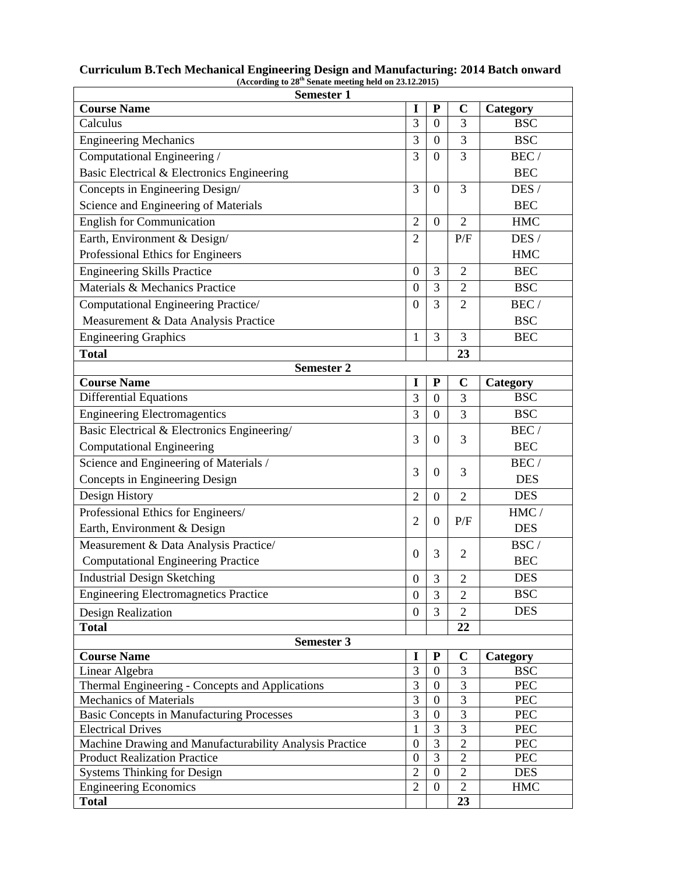| <b>Semester 1</b>                                                                              |                                      |                  |                                  |            |
|------------------------------------------------------------------------------------------------|--------------------------------------|------------------|----------------------------------|------------|
| <b>Course Name</b>                                                                             | I                                    | ${\bf P}$        | $\mathbf C$                      | Category   |
| Calculus                                                                                       | 3                                    | $\overline{0}$   | 3                                | <b>BSC</b> |
| <b>Engineering Mechanics</b>                                                                   | 3                                    | $\overline{0}$   | 3                                | <b>BSC</b> |
| Computational Engineering /                                                                    | $\overline{3}$                       | $\overline{0}$   | 3                                | BEC/       |
| Basic Electrical & Electronics Engineering                                                     |                                      |                  |                                  | <b>BEC</b> |
| Concepts in Engineering Design/                                                                | 3                                    | $\overline{0}$   | 3                                | DES /      |
| Science and Engineering of Materials                                                           |                                      |                  |                                  | <b>BEC</b> |
| <b>English for Communication</b>                                                               | $\overline{2}$                       | $\theta$         | $\overline{2}$                   | <b>HMC</b> |
| Earth, Environment & Design/                                                                   | $\overline{2}$                       |                  | P/F                              | DES /      |
| Professional Ethics for Engineers                                                              |                                      |                  |                                  | <b>HMC</b> |
| <b>Engineering Skills Practice</b>                                                             | $\mathbf{0}$                         | 3                | $\overline{2}$                   | <b>BEC</b> |
| Materials & Mechanics Practice                                                                 | $\overline{0}$                       | 3                | $\overline{2}$                   | <b>BSC</b> |
| Computational Engineering Practice/                                                            | $\theta$                             | 3                | $\overline{2}$                   | BEC/       |
| Measurement & Data Analysis Practice                                                           |                                      |                  |                                  | <b>BSC</b> |
| <b>Engineering Graphics</b>                                                                    | 1                                    | 3                | 3                                | <b>BEC</b> |
| <b>Total</b>                                                                                   |                                      |                  | 23                               |            |
| <b>Semester 2</b>                                                                              |                                      |                  |                                  |            |
| <b>Course Name</b>                                                                             | 1                                    | ${\bf P}$        | $\mathbf C$                      | Category   |
| <b>Differential Equations</b>                                                                  | 3                                    | $\overline{0}$   | 3                                | <b>BSC</b> |
| <b>Engineering Electromagentics</b>                                                            | $\overline{3}$                       | $\overline{0}$   | 3                                | <b>BSC</b> |
| Basic Electrical & Electronics Engineering/                                                    |                                      |                  |                                  | BEC/       |
| <b>Computational Engineering</b>                                                               | 3                                    | $\overline{0}$   | 3                                | <b>BEC</b> |
| Science and Engineering of Materials /                                                         |                                      |                  |                                  | BEC/       |
| Concepts in Engineering Design                                                                 | 3                                    | $\theta$         | 3                                | <b>DES</b> |
| Design History                                                                                 | $\overline{2}$                       | $\boldsymbol{0}$ | $\overline{2}$                   | <b>DES</b> |
| Professional Ethics for Engineers/                                                             |                                      |                  |                                  | HMC/       |
| Earth, Environment & Design                                                                    | $\overline{2}$                       | $\overline{0}$   | P/F                              | <b>DES</b> |
| Measurement & Data Analysis Practice/                                                          |                                      |                  |                                  | BSC/       |
| <b>Computational Engineering Practice</b>                                                      | $\overline{0}$                       | 3                | $\overline{2}$                   | <b>BEC</b> |
| <b>Industrial Design Sketching</b>                                                             | $\boldsymbol{0}$                     | 3                | $\overline{c}$                   | <b>DES</b> |
| <b>Engineering Electromagnetics Practice</b>                                                   | $\boldsymbol{0}$                     | 3                | $\overline{2}$                   | <b>BSC</b> |
| Design Realization                                                                             | $\boldsymbol{0}$                     | 3                | $\overline{2}$                   | <b>DES</b> |
| <b>Total</b>                                                                                   |                                      |                  | 22                               |            |
| <b>Semester 3</b>                                                                              |                                      |                  |                                  |            |
| <b>Course Name</b>                                                                             | I                                    | ${\bf P}$        | $\mathbf C$                      | Category   |
| Linear Algebra                                                                                 | 3                                    | $\boldsymbol{0}$ | 3                                | <b>BSC</b> |
| Thermal Engineering - Concepts and Applications                                                | 3                                    | $\boldsymbol{0}$ | 3                                | $\rm{PEC}$ |
| <b>Mechanics of Materials</b>                                                                  | 3                                    | $\mathbf{0}$     | 3                                | PEC        |
| <b>Basic Concepts in Manufacturing Processes</b>                                               | 3                                    | $\boldsymbol{0}$ | 3                                | PEC        |
| <b>Electrical Drives</b>                                                                       | 1                                    | 3                | 3                                | PEC        |
| Machine Drawing and Manufacturability Analysis Practice<br><b>Product Realization Practice</b> | $\boldsymbol{0}$<br>$\boldsymbol{0}$ | 3<br>3           | $\overline{2}$<br>$\overline{2}$ | PEC<br>PEC |
| <b>Systems Thinking for Design</b>                                                             | $\overline{2}$                       | $\overline{0}$   | $\overline{2}$                   | <b>DES</b> |
| <b>Engineering Economics</b>                                                                   | $\overline{2}$                       | $\boldsymbol{0}$ | $\overline{2}$                   | <b>HMC</b> |
| <b>Total</b>                                                                                   |                                      |                  | 23                               |            |

**Curriculum B.Tech Mechanical Engineering Design and Manufacturing: 2014 Batch onward (According to 28th Senate meeting held on 23.12.2015)**